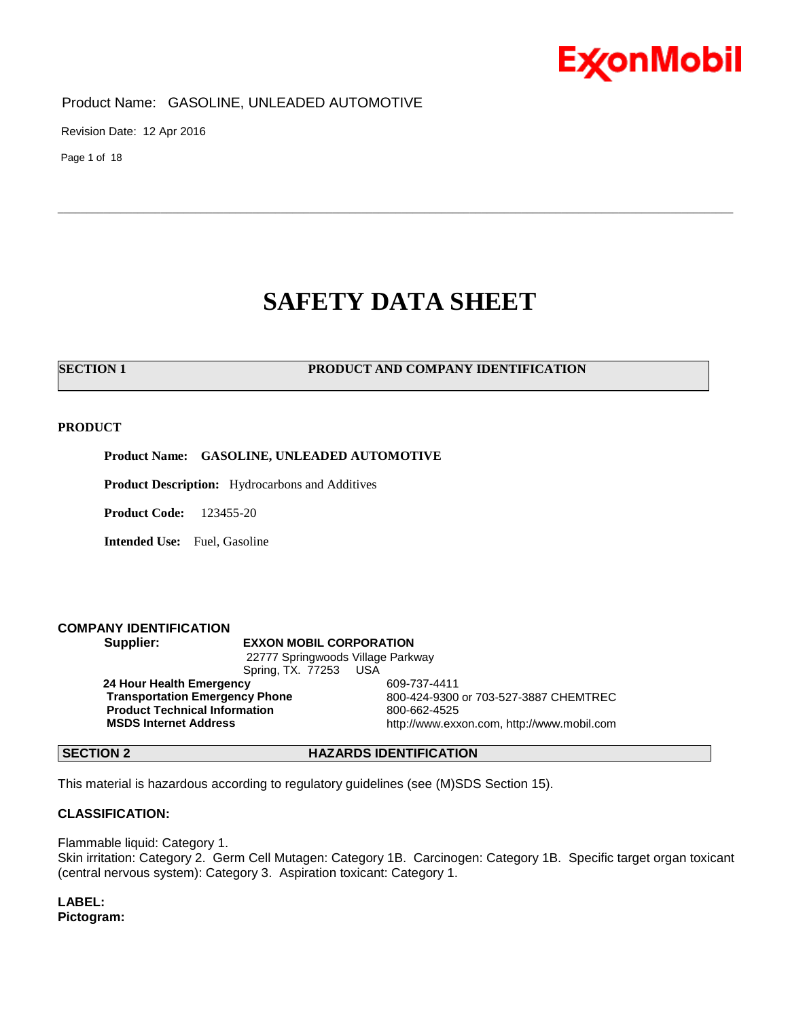

Revision Date: 12 Apr 2016

Page 1 of 18

## **SAFETY DATA SHEET**

\_\_\_\_\_\_\_\_\_\_\_\_\_\_\_\_\_\_\_\_\_\_\_\_\_\_\_\_\_\_\_\_\_\_\_\_\_\_\_\_\_\_\_\_\_\_\_\_\_\_\_\_\_\_\_\_\_\_\_\_\_\_\_\_\_\_\_\_\_\_\_\_\_\_\_\_\_\_\_\_\_\_\_\_\_\_\_\_\_\_\_\_\_\_\_\_\_\_\_\_\_\_\_\_\_\_\_\_\_\_\_\_\_\_\_\_\_\_

#### **SECTION 1 PRODUCT AND COMPANY IDENTIFICATION**

#### **PRODUCT**

**Product Name: GASOLINE, UNLEADED AUTOMOTIVE**

**Product Description:** Hydrocarbons and Additives

**Product Code:** 123455-20

**Intended Use:** Fuel, Gasoline

#### **COMPANY IDENTIFICATION**

#### **Supplier: EXXON MOBIL CORPORATION**

22777 Springwoods Village Parkway Spring, TX. 77253 USA **24 Hour Health Emergency 609-737-4411<br>Transportation Emergency Phone 600-424-9300 Product Technical Information** 800-662-4525

**Transportation Emergency Phone** 800-424-9300 or 703-527-3887 CHEMTREC **MSDS Internet Address** http://www.exxon.com, http://www.mobil.com

#### **SECTION 2 HAZARDS IDENTIFICATION**

This material is hazardous according to regulatory guidelines (see (M)SDS Section 15).

### **CLASSIFICATION:**

Flammable liquid: Category 1. Skin irritation: Category 2. Germ Cell Mutagen: Category 1B. Carcinogen: Category 1B. Specific target organ toxicant (central nervous system): Category 3. Aspiration toxicant: Category 1.

**LABEL: Pictogram:**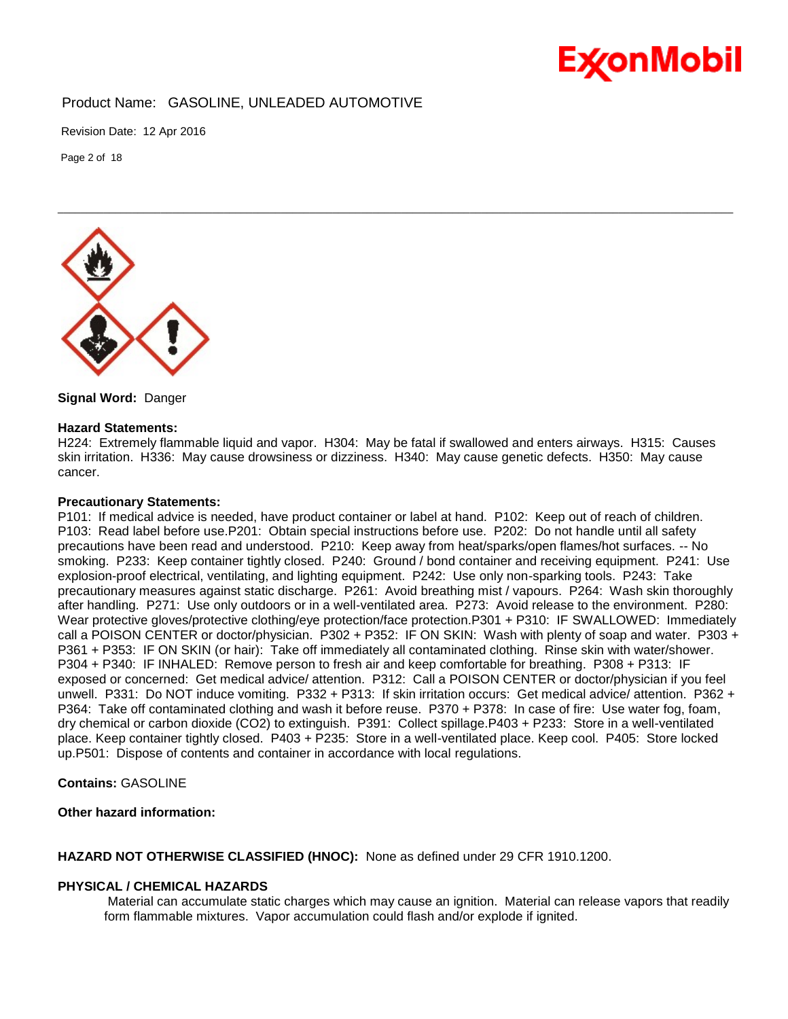

Revision Date: 12 Apr 2016

Page 2 of 18



**Signal Word:** Danger

#### **Hazard Statements:**

H224: Extremely flammable liquid and vapor. H304: May be fatal if swallowed and enters airways. H315: Causes skin irritation. H336: May cause drowsiness or dizziness. H340: May cause genetic defects. H350: May cause cancer.

\_\_\_\_\_\_\_\_\_\_\_\_\_\_\_\_\_\_\_\_\_\_\_\_\_\_\_\_\_\_\_\_\_\_\_\_\_\_\_\_\_\_\_\_\_\_\_\_\_\_\_\_\_\_\_\_\_\_\_\_\_\_\_\_\_\_\_\_\_\_\_\_\_\_\_\_\_\_\_\_\_\_\_\_\_\_\_\_\_\_\_\_\_\_\_\_\_\_\_\_\_\_\_\_\_\_\_\_\_\_\_\_\_\_\_\_\_\_

#### **Precautionary Statements:**

P101: If medical advice is needed, have product container or label at hand. P102: Keep out of reach of children. P103: Read label before use.P201: Obtain special instructions before use. P202: Do not handle until all safety precautions have been read and understood. P210: Keep away from heat/sparks/open flames/hot surfaces. -- No smoking. P233: Keep container tightly closed. P240: Ground / bond container and receiving equipment. P241: Use explosion-proof electrical, ventilating, and lighting equipment. P242: Use only non-sparking tools. P243: Take precautionary measures against static discharge. P261: Avoid breathing mist / vapours. P264: Wash skin thoroughly after handling. P271: Use only outdoors or in a well-ventilated area. P273: Avoid release to the environment. P280: Wear protective gloves/protective clothing/eye protection/face protection.P301 + P310: IF SWALLOWED: Immediately call a POISON CENTER or doctor/physician. P302 + P352: IF ON SKIN: Wash with plenty of soap and water. P303 + P361 + P353: IF ON SKIN (or hair): Take off immediately all contaminated clothing. Rinse skin with water/shower. P304 + P340: IF INHALED: Remove person to fresh air and keep comfortable for breathing. P308 + P313: IF exposed or concerned: Get medical advice/ attention. P312: Call a POISON CENTER or doctor/physician if you feel unwell. P331: Do NOT induce vomiting. P332 + P313: If skin irritation occurs: Get medical advice/ attention. P362 + P364: Take off contaminated clothing and wash it before reuse. P370 + P378: In case of fire: Use water fog, foam, dry chemical or carbon dioxide (CO2) to extinguish. P391: Collect spillage.P403 + P233: Store in a well-ventilated place. Keep container tightly closed. P403 + P235: Store in a well-ventilated place. Keep cool. P405: Store locked up.P501: Dispose of contents and container in accordance with local regulations.

**Contains:** GASOLINE

#### **Other hazard information:**

**HAZARD NOT OTHERWISE CLASSIFIED (HNOC):** None as defined under 29 CFR 1910.1200.

#### **PHYSICAL / CHEMICAL HAZARDS**

Material can accumulate static charges which may cause an ignition. Material can release vapors that readily form flammable mixtures. Vapor accumulation could flash and/or explode if ignited.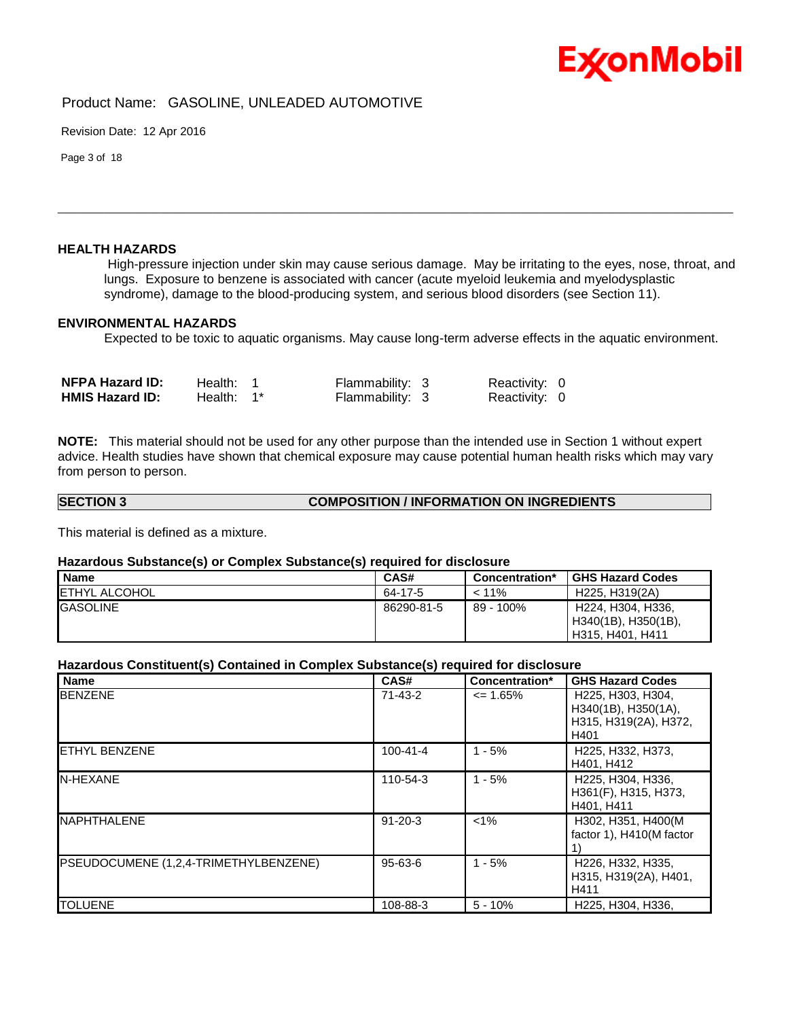

Revision Date: 12 Apr 2016

Page 3 of 18

#### **HEALTH HAZARDS**

High-pressure injection under skin may cause serious damage. May be irritating to the eyes, nose, throat, and lungs. Exposure to benzene is associated with cancer (acute myeloid leukemia and myelodysplastic syndrome), damage to the blood-producing system, and serious blood disorders (see Section 11).

\_\_\_\_\_\_\_\_\_\_\_\_\_\_\_\_\_\_\_\_\_\_\_\_\_\_\_\_\_\_\_\_\_\_\_\_\_\_\_\_\_\_\_\_\_\_\_\_\_\_\_\_\_\_\_\_\_\_\_\_\_\_\_\_\_\_\_\_\_\_\_\_\_\_\_\_\_\_\_\_\_\_\_\_\_\_\_\_\_\_\_\_\_\_\_\_\_\_\_\_\_\_\_\_\_\_\_\_\_\_\_\_\_\_\_\_\_\_

#### **ENVIRONMENTAL HAZARDS**

Expected to be toxic to aquatic organisms. May cause long-term adverse effects in the aquatic environment.

| <b>NFPA Hazard ID:</b> | Health: L     | Flammability: 3 | Reactivity: 0 |  |
|------------------------|---------------|-----------------|---------------|--|
| <b>HMIS Hazard ID:</b> | Health: $1^*$ | Flammability: 3 | Reactivity: 0 |  |

**NOTE:** This material should not be used for any other purpose than the intended use in Section 1 without expert advice. Health studies have shown that chemical exposure may cause potential human health risks which may vary from person to person.

| <b>SECTION 3</b> | <b>COMPOSITION / INFORMATION ON INGREDIENTS</b> |
|------------------|-------------------------------------------------|
|                  |                                                 |

This material is defined as a mixture.

#### **Hazardous Substance(s) or Complex Substance(s) required for disclosure**

| Name                  | CAS#       | Concentration* | <b>GHS Hazard Codes</b>                                      |
|-----------------------|------------|----------------|--------------------------------------------------------------|
| <b>IETHYL ALCOHOL</b> | 64-17-5    | $< 11\%$       | H225, H319(2A)                                               |
| <b>GASOLINE</b>       | 86290-81-5 | $89 - 100\%$   | H224, H304, H336,<br>H340(1B), H350(1B),<br>H315, H401, H411 |

#### **Hazardous Constituent(s) Contained in Complex Substance(s) required for disclosure**

| Name                                  | CAS#           | Concentration* | <b>GHS Hazard Codes</b>                                                                                          |
|---------------------------------------|----------------|----------------|------------------------------------------------------------------------------------------------------------------|
| <b>BENZENE</b>                        | $71 - 43 - 2$  | $\leq$ 1.65%   | H <sub>225</sub> . H <sub>303</sub> . H <sub>304</sub> .<br>H340(1B), H350(1A),<br>H315, H319(2A), H372,<br>H401 |
| <b>IETHYL BENZENE</b>                 | $100 - 41 - 4$ | $1 - 5%$       | H225, H332, H373,<br>H401, H412                                                                                  |
| N-HEXANE                              | 110-54-3       | $1 - 5%$       | H225, H304, H336,<br>H361(F), H315, H373,<br>H401, H411                                                          |
| NAPHTHALENE                           | $91 - 20 - 3$  | $< 1\%$        | H302, H351, H400(M<br>factor 1), H410(M factor                                                                   |
| PSEUDOCUMENE (1,2,4-TRIMETHYLBENZENE) | $95 - 63 - 6$  | $1 - 5%$       | H226, H332, H335,<br>H315, H319(2A), H401,<br>H411                                                               |
| <b>TOLUENE</b>                        | 108-88-3       | $5 - 10%$      | H225, H304, H336,                                                                                                |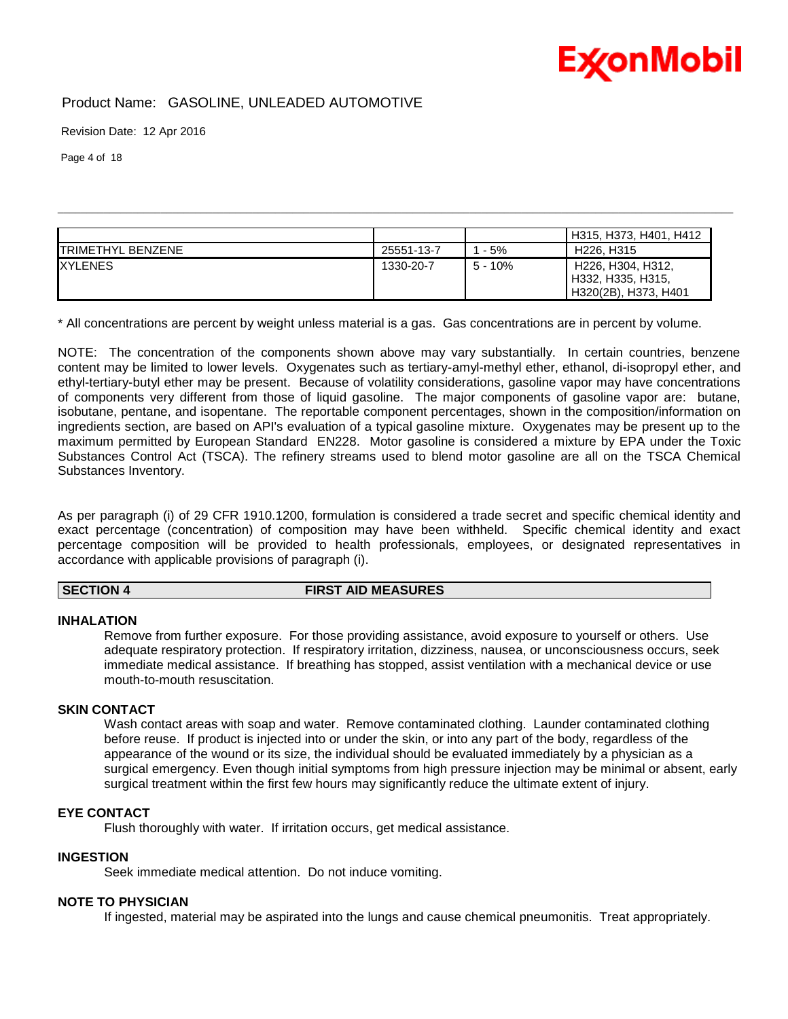## **ExconMobil**

## Product Name: GASOLINE, UNLEADED AUTOMOTIVE

Revision Date: 12 Apr 2016

Page 4 of 18

|                          |            |           | H315, H373, H401, H412                                                                                |
|--------------------------|------------|-----------|-------------------------------------------------------------------------------------------------------|
| <b>TRIMETHYL BENZENE</b> | 25551-13-7 | - 5%      | H <sub>226</sub> , H <sub>315</sub>                                                                   |
| <b>XYLENES</b>           | 1330-20-7  | $5 - 10%$ | H <sub>226</sub> , H <sub>304</sub> , H <sub>312</sub> ,<br>H332, H335, H315,<br>H320(2B), H373, H401 |

\_\_\_\_\_\_\_\_\_\_\_\_\_\_\_\_\_\_\_\_\_\_\_\_\_\_\_\_\_\_\_\_\_\_\_\_\_\_\_\_\_\_\_\_\_\_\_\_\_\_\_\_\_\_\_\_\_\_\_\_\_\_\_\_\_\_\_\_\_\_\_\_\_\_\_\_\_\_\_\_\_\_\_\_\_\_\_\_\_\_\_\_\_\_\_\_\_\_\_\_\_\_\_\_\_\_\_\_\_\_\_\_\_\_\_\_\_\_

\* All concentrations are percent by weight unless material is a gas. Gas concentrations are in percent by volume.

NOTE: The concentration of the components shown above may vary substantially. In certain countries, benzene content may be limited to lower levels. Oxygenates such as tertiary-amyl-methyl ether, ethanol, di-isopropyl ether, and ethyl-tertiary-butyl ether may be present. Because of volatility considerations, gasoline vapor may have concentrations of components very different from those of liquid gasoline. The major components of gasoline vapor are: butane, isobutane, pentane, and isopentane. The reportable component percentages, shown in the composition/information on ingredients section, are based on API's evaluation of a typical gasoline mixture. Oxygenates may be present up to the maximum permitted by European Standard EN228. Motor gasoline is considered a mixture by EPA under the Toxic Substances Control Act (TSCA). The refinery streams used to blend motor gasoline are all on the TSCA Chemical Substances Inventory.

As per paragraph (i) of 29 CFR 1910.1200, formulation is considered a trade secret and specific chemical identity and exact percentage (concentration) of composition may have been withheld. Specific chemical identity and exact percentage composition will be provided to health professionals, employees, or designated representatives in accordance with applicable provisions of paragraph (i).

#### **SECTION 4 FIRST AID MEASURES**

#### **INHALATION**

Remove from further exposure. For those providing assistance, avoid exposure to yourself or others. Use adequate respiratory protection. If respiratory irritation, dizziness, nausea, or unconsciousness occurs, seek immediate medical assistance. If breathing has stopped, assist ventilation with a mechanical device or use mouth-to-mouth resuscitation.

#### **SKIN CONTACT**

Wash contact areas with soap and water. Remove contaminated clothing. Launder contaminated clothing before reuse. If product is injected into or under the skin, or into any part of the body, regardless of the appearance of the wound or its size, the individual should be evaluated immediately by a physician as a surgical emergency. Even though initial symptoms from high pressure injection may be minimal or absent, early surgical treatment within the first few hours may significantly reduce the ultimate extent of injury.

#### **EYE CONTACT**

Flush thoroughly with water. If irritation occurs, get medical assistance.

#### **INGESTION**

Seek immediate medical attention. Do not induce vomiting.

#### **NOTE TO PHYSICIAN**

If ingested, material may be aspirated into the lungs and cause chemical pneumonitis. Treat appropriately.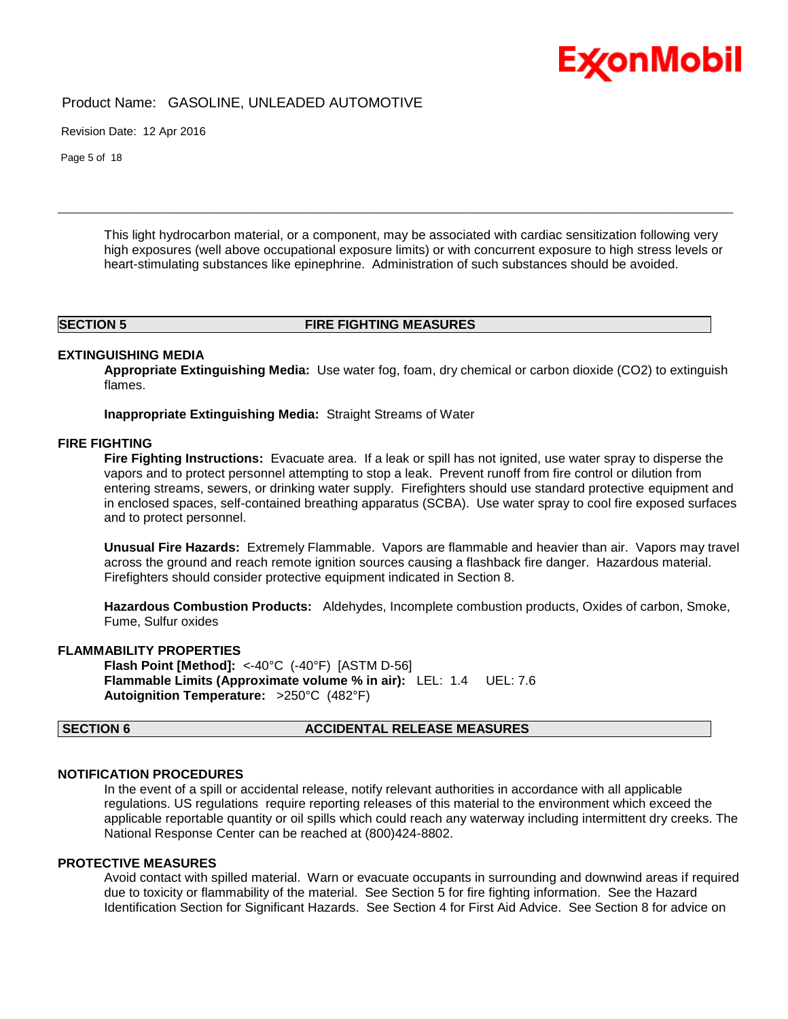Product Name: GASOLINE, UNLEADED AUTOMOTIVE

Revision Date: 12 Apr 2016

Page 5 of 18

This light hydrocarbon material, or a component, may be associated with cardiac sensitization following very high exposures (well above occupational exposure limits) or with concurrent exposure to high stress levels or heart-stimulating substances like epinephrine. Administration of such substances should be avoided.

#### **SECTION 5 FIRE FIGHTING MEASURES**

\_\_\_\_\_\_\_\_\_\_\_\_\_\_\_\_\_\_\_\_\_\_\_\_\_\_\_\_\_\_\_\_\_\_\_\_\_\_\_\_\_\_\_\_\_\_\_\_\_\_\_\_\_\_\_\_\_\_\_\_\_\_\_\_\_\_\_\_\_\_\_\_\_\_\_\_\_\_\_\_\_\_\_\_\_\_\_\_\_\_\_\_\_\_\_\_\_\_\_\_\_\_\_\_\_\_\_\_\_\_\_\_\_\_\_\_\_\_

#### **EXTINGUISHING MEDIA**

**Appropriate Extinguishing Media:** Use water fog, foam, dry chemical or carbon dioxide (CO2) to extinguish flames.

**Inappropriate Extinguishing Media:** Straight Streams of Water

#### **FIRE FIGHTING**

**Fire Fighting Instructions:** Evacuate area. If a leak or spill has not ignited, use water spray to disperse the vapors and to protect personnel attempting to stop a leak. Prevent runoff from fire control or dilution from entering streams, sewers, or drinking water supply. Firefighters should use standard protective equipment and in enclosed spaces, self-contained breathing apparatus (SCBA). Use water spray to cool fire exposed surfaces and to protect personnel.

**Unusual Fire Hazards:** Extremely Flammable. Vapors are flammable and heavier than air. Vapors may travel across the ground and reach remote ignition sources causing a flashback fire danger. Hazardous material. Firefighters should consider protective equipment indicated in Section 8.

**Hazardous Combustion Products:** Aldehydes, Incomplete combustion products, Oxides of carbon, Smoke, Fume, Sulfur oxides

#### **FLAMMABILITY PROPERTIES**

**Flash Point [Method]:** <-40°C (-40°F) [ASTM D-56] **Flammable Limits (Approximate volume % in air):** LEL: 1.4 UEL: 7.6 **Autoignition Temperature:** >250°C (482°F)

#### **SECTION 6 ACCIDENTAL RELEASE MEASURES**

#### **NOTIFICATION PROCEDURES**

In the event of a spill or accidental release, notify relevant authorities in accordance with all applicable regulations. US regulations require reporting releases of this material to the environment which exceed the applicable reportable quantity or oil spills which could reach any waterway including intermittent dry creeks. The National Response Center can be reached at (800)424-8802.

#### **PROTECTIVE MEASURES**

Avoid contact with spilled material. Warn or evacuate occupants in surrounding and downwind areas if required due to toxicity or flammability of the material. See Section 5 for fire fighting information. See the Hazard Identification Section for Significant Hazards. See Section 4 for First Aid Advice. See Section 8 for advice on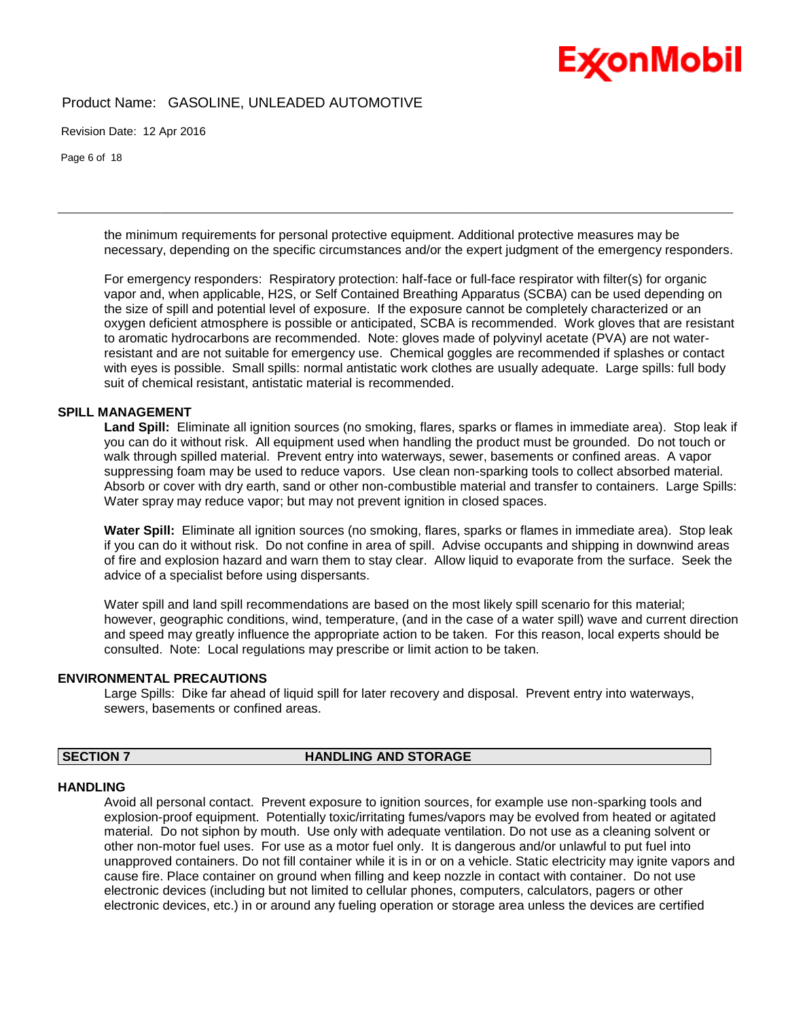### Product Name: GASOLINE, UNLEADED AUTOMOTIVE

Revision Date: 12 Apr 2016

Page 6 of 18

the minimum requirements for personal protective equipment. Additional protective measures may be necessary, depending on the specific circumstances and/or the expert judgment of the emergency responders.

\_\_\_\_\_\_\_\_\_\_\_\_\_\_\_\_\_\_\_\_\_\_\_\_\_\_\_\_\_\_\_\_\_\_\_\_\_\_\_\_\_\_\_\_\_\_\_\_\_\_\_\_\_\_\_\_\_\_\_\_\_\_\_\_\_\_\_\_\_\_\_\_\_\_\_\_\_\_\_\_\_\_\_\_\_\_\_\_\_\_\_\_\_\_\_\_\_\_\_\_\_\_\_\_\_\_\_\_\_\_\_\_\_\_\_\_\_\_

For emergency responders: Respiratory protection: half-face or full-face respirator with filter(s) for organic vapor and, when applicable, H2S, or Self Contained Breathing Apparatus (SCBA) can be used depending on the size of spill and potential level of exposure. If the exposure cannot be completely characterized or an oxygen deficient atmosphere is possible or anticipated, SCBA is recommended. Work gloves that are resistant to aromatic hydrocarbons are recommended. Note: gloves made of polyvinyl acetate (PVA) are not waterresistant and are not suitable for emergency use. Chemical goggles are recommended if splashes or contact with eyes is possible. Small spills: normal antistatic work clothes are usually adequate. Large spills: full body suit of chemical resistant, antistatic material is recommended.

#### **SPILL MANAGEMENT**

**Land Spill:** Eliminate all ignition sources (no smoking, flares, sparks or flames in immediate area). Stop leak if you can do it without risk. All equipment used when handling the product must be grounded. Do not touch or walk through spilled material. Prevent entry into waterways, sewer, basements or confined areas. A vapor suppressing foam may be used to reduce vapors. Use clean non-sparking tools to collect absorbed material. Absorb or cover with dry earth, sand or other non-combustible material and transfer to containers. Large Spills: Water spray may reduce vapor; but may not prevent ignition in closed spaces.

**Water Spill:** Eliminate all ignition sources (no smoking, flares, sparks or flames in immediate area). Stop leak if you can do it without risk. Do not confine in area of spill. Advise occupants and shipping in downwind areas of fire and explosion hazard and warn them to stay clear. Allow liquid to evaporate from the surface. Seek the advice of a specialist before using dispersants.

Water spill and land spill recommendations are based on the most likely spill scenario for this material; however, geographic conditions, wind, temperature, (and in the case of a water spill) wave and current direction and speed may greatly influence the appropriate action to be taken. For this reason, local experts should be consulted. Note: Local regulations may prescribe or limit action to be taken.

#### **ENVIRONMENTAL PRECAUTIONS**

Large Spills: Dike far ahead of liquid spill for later recovery and disposal. Prevent entry into waterways, sewers, basements or confined areas.

### **SECTION 7 HANDLING AND STORAGE**

#### **HANDLING**

Avoid all personal contact. Prevent exposure to ignition sources, for example use non-sparking tools and explosion-proof equipment. Potentially toxic/irritating fumes/vapors may be evolved from heated or agitated material. Do not siphon by mouth. Use only with adequate ventilation. Do not use as a cleaning solvent or other non-motor fuel uses. For use as a motor fuel only. It is dangerous and/or unlawful to put fuel into unapproved containers. Do not fill container while it is in or on a vehicle. Static electricity may ignite vapors and cause fire. Place container on ground when filling and keep nozzle in contact with container. Do not use electronic devices (including but not limited to cellular phones, computers, calculators, pagers or other electronic devices, etc.) in or around any fueling operation or storage area unless the devices are certified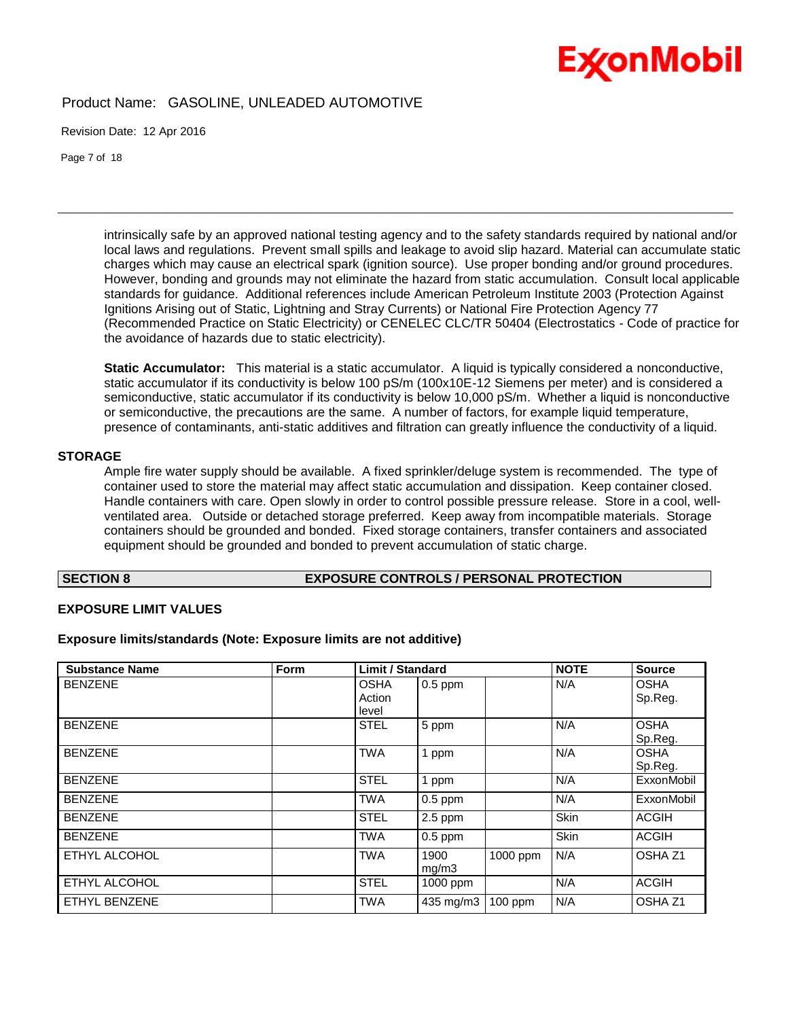## Product Name: GASOLINE, UNLEADED AUTOMOTIVE

Revision Date: 12 Apr 2016

Page 7 of 18

intrinsically safe by an approved national testing agency and to the safety standards required by national and/or local laws and regulations. Prevent small spills and leakage to avoid slip hazard. Material can accumulate static charges which may cause an electrical spark (ignition source). Use proper bonding and/or ground procedures. However, bonding and grounds may not eliminate the hazard from static accumulation. Consult local applicable standards for guidance. Additional references include American Petroleum Institute 2003 (Protection Against Ignitions Arising out of Static, Lightning and Stray Currents) or National Fire Protection Agency 77 (Recommended Practice on Static Electricity) or CENELEC CLC/TR 50404 (Electrostatics - Code of practice for the avoidance of hazards due to static electricity).

\_\_\_\_\_\_\_\_\_\_\_\_\_\_\_\_\_\_\_\_\_\_\_\_\_\_\_\_\_\_\_\_\_\_\_\_\_\_\_\_\_\_\_\_\_\_\_\_\_\_\_\_\_\_\_\_\_\_\_\_\_\_\_\_\_\_\_\_\_\_\_\_\_\_\_\_\_\_\_\_\_\_\_\_\_\_\_\_\_\_\_\_\_\_\_\_\_\_\_\_\_\_\_\_\_\_\_\_\_\_\_\_\_\_\_\_\_\_

**Static Accumulator:** This material is a static accumulator. A liquid is typically considered a nonconductive, static accumulator if its conductivity is below 100 pS/m (100x10E-12 Siemens per meter) and is considered a semiconductive, static accumulator if its conductivity is below 10,000 pS/m. Whether a liquid is nonconductive or semiconductive, the precautions are the same. A number of factors, for example liquid temperature, presence of contaminants, anti-static additives and filtration can greatly influence the conductivity of a liquid.

#### **STORAGE**

Ample fire water supply should be available. A fixed sprinkler/deluge system is recommended. The type of container used to store the material may affect static accumulation and dissipation. Keep container closed. Handle containers with care. Open slowly in order to control possible pressure release. Store in a cool, wellventilated area. Outside or detached storage preferred. Keep away from incompatible materials. Storage containers should be grounded and bonded. Fixed storage containers, transfer containers and associated equipment should be grounded and bonded to prevent accumulation of static charge.

#### **SECTION 8 EXPOSURE CONTROLS / PERSONAL PROTECTION**

#### **EXPOSURE LIMIT VALUES**

#### **Exposure limits/standards (Note: Exposure limits are not additive)**

| <b>Substance Name</b> | Form | <b>Limit / Standard</b> |           |           | <b>NOTE</b> | <b>Source</b>      |
|-----------------------|------|-------------------------|-----------|-----------|-------------|--------------------|
| <b>BENZENE</b>        |      | <b>OSHA</b>             | $0.5$ ppm |           | N/A         | <b>OSHA</b>        |
|                       |      | Action                  |           |           |             | Sp.Reg.            |
|                       |      | level                   |           |           |             |                    |
| <b>BENZENE</b>        |      | <b>STEL</b>             | 5 ppm     |           | N/A         | <b>OSHA</b>        |
|                       |      |                         |           |           |             | Sp.Reg.            |
| <b>BENZENE</b>        |      | <b>TWA</b>              | 1 ppm     |           | N/A         | <b>OSHA</b>        |
|                       |      |                         |           |           |             | Sp.Reg.            |
| <b>BENZENE</b>        |      | <b>STEL</b>             | 1 ppm     |           | N/A         | ExxonMobil         |
| <b>BENZENE</b>        |      | <b>TWA</b>              | $0.5$ ppm |           | N/A         | ExxonMobil         |
| <b>BENZENE</b>        |      | <b>STEL</b>             | $2.5$ ppm |           | Skin        | <b>ACGIH</b>       |
| <b>BENZENE</b>        |      | <b>TWA</b>              | $0.5$ ppm |           | Skin        | <b>ACGIH</b>       |
| ETHYL ALCOHOL         |      | <b>TWA</b>              | 1900      | 1000 ppm  | N/A         | OSHA <sub>Z1</sub> |
|                       |      |                         | mg/m3     |           |             |                    |
| ETHYL ALCOHOL         |      | <b>STEL</b>             | 1000 ppm  |           | N/A         | <b>ACGIH</b>       |
| <b>ETHYL BENZENE</b>  |      | <b>TWA</b>              | 435 mg/m3 | $100$ ppm | N/A         | OSHA <sub>Z1</sub> |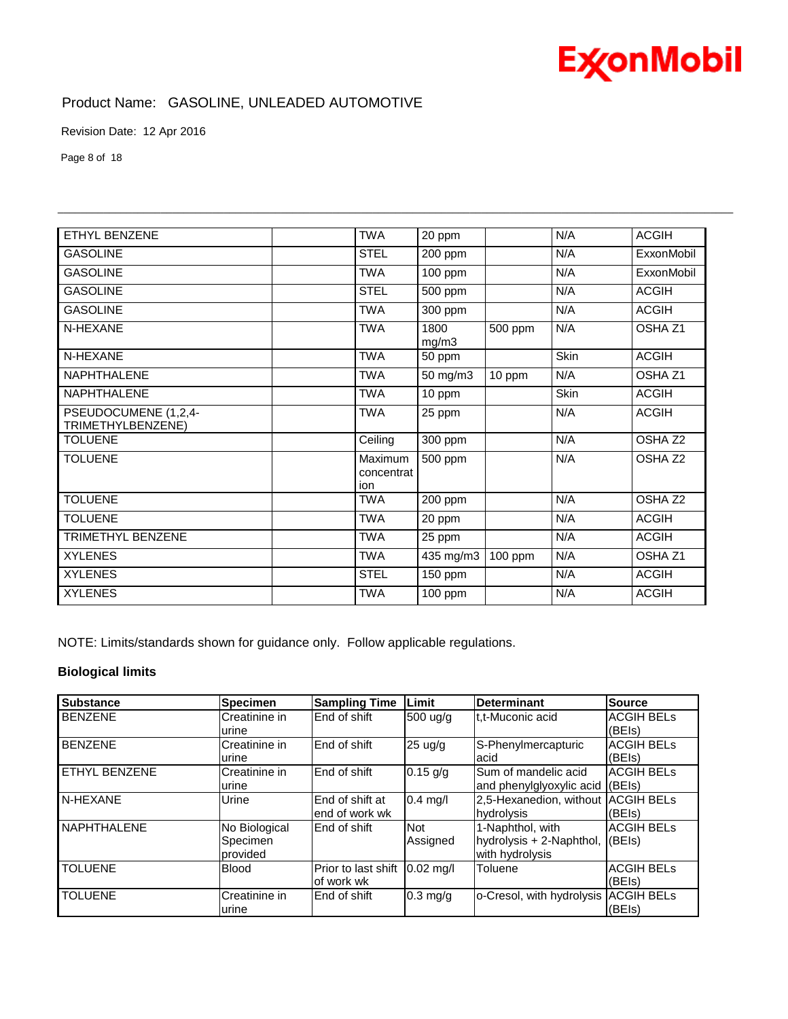## **ExconMobil**

Product Name: GASOLINE, UNLEADED AUTOMOTIVE

Revision Date: 12 Apr 2016

Page 8 of 18

| ETHYL BENZENE                             | <b>TWA</b>                   | 20 ppm        |         | N/A  | <b>ACGIH</b>       |
|-------------------------------------------|------------------------------|---------------|---------|------|--------------------|
|                                           |                              |               |         |      |                    |
| <b>GASOLINE</b>                           | <b>STEL</b>                  | 200 ppm       |         | N/A  | ExxonMobil         |
| <b>GASOLINE</b>                           | <b>TWA</b>                   | $100$ ppm     |         | N/A  | ExxonMobil         |
| <b>GASOLINE</b>                           | <b>STEL</b>                  | 500 ppm       |         | N/A  | <b>ACGIH</b>       |
| <b>GASOLINE</b>                           | <b>TWA</b>                   | 300 ppm       |         | N/A  | <b>ACGIH</b>       |
| N-HEXANE                                  | <b>TWA</b>                   | 1800<br>mg/m3 | 500 ppm | N/A  | OSHA Z1            |
| N-HEXANE                                  | <b>TWA</b>                   | 50 ppm        |         | Skin | <b>ACGIH</b>       |
| <b>NAPHTHALENE</b>                        | <b>TWA</b>                   | 50 mg/m3      | 10 ppm  | N/A  | OSHA Z1            |
| <b>NAPHTHALENE</b>                        | <b>TWA</b>                   | 10 ppm        |         | Skin | <b>ACGIH</b>       |
| PSEUDOCUMENE (1,2,4-<br>TRIMETHYLBENZENE) | <b>TWA</b>                   | 25 ppm        |         | N/A  | <b>ACGIH</b>       |
| TOLUENE                                   | Ceiling                      | 300 ppm       |         | N/A  | OSHA <sub>Z2</sub> |
| <b>TOLUENE</b>                            | Maximum<br>concentrat<br>ion | 500 ppm       |         | N/A  | OSHA <sub>Z2</sub> |
| <b>TOLUENE</b>                            | <b>TWA</b>                   | 200 ppm       |         | N/A  | OSHA <sub>Z2</sub> |
| <b>TOLUENE</b>                            | <b>TWA</b>                   | 20 ppm        |         | N/A  | <b>ACGIH</b>       |
| <b>TRIMETHYL BENZENE</b>                  | <b>TWA</b>                   | 25 ppm        |         | N/A  | <b>ACGIH</b>       |
| <b>XYLENES</b>                            | <b>TWA</b>                   | 435 mg/m3     | 100 ppm | N/A  | OSHA <sub>Z1</sub> |
| <b>XYLENES</b>                            | <b>STEL</b>                  | 150 ppm       |         | N/A  | <b>ACGIH</b>       |
| <b>XYLENES</b>                            | <b>TWA</b>                   | $100$ ppm     |         | N/A  | <b>ACGIH</b>       |

\_\_\_\_\_\_\_\_\_\_\_\_\_\_\_\_\_\_\_\_\_\_\_\_\_\_\_\_\_\_\_\_\_\_\_\_\_\_\_\_\_\_\_\_\_\_\_\_\_\_\_\_\_\_\_\_\_\_\_\_\_\_\_\_\_\_\_\_\_\_\_\_\_\_\_\_\_\_\_\_\_\_\_\_\_\_\_\_\_\_\_\_\_\_\_\_\_\_\_\_\_\_\_\_\_\_\_\_\_\_\_\_\_\_\_\_\_\_

NOTE: Limits/standards shown for guidance only. Follow applicable regulations.

#### **Biological limits**

| <b>Substance</b>     | <b>Specimen</b>                       | <b>Sampling Time</b>              | Limit                  | <b>Determinant</b>                                                        | <b>Source</b>               |
|----------------------|---------------------------------------|-----------------------------------|------------------------|---------------------------------------------------------------------------|-----------------------------|
| <b>BENZENE</b>       | Creatinine in<br>urine                | End of shift                      | 500 ug/g               | t.t-Muconic acid                                                          | <b>ACGIH BELS</b><br>(BEIs) |
| <b>BENZENE</b>       | Creatinine in<br>urine                | End of shift                      | 25 ug/g                | S-Phenylmercapturic<br>acid                                               | <b>ACGIH BELS</b><br>(BEIs) |
| <b>ETHYL BENZENE</b> | Creatinine in<br>urine                | End of shift                      | $0.15$ g/g             | Sum of mandelic acid<br>and phenylglyoxylic acid (BEIs)                   | <b>ACGIH BELS</b>           |
| N-HEXANE             | Urine                                 | End of shift at<br>end of work wk | $0.4$ mg/l             | 2,5-Hexanedion, without ACGIH BELs<br>hydrolysis                          | (BE s)                      |
| <b>NAPHTHALENE</b>   | No Biological<br>Specimen<br>provided | End of shift                      | <b>Not</b><br>Assigned | 1-Naphthol, with<br>hydrolysis $+ 2$ -Naphthol, (BEIs)<br>with hydrolysis | <b>ACGIH BELs</b>           |
| <b>TOLUENE</b>       | <b>Blood</b>                          | Prior to last shift<br>of work wk | $0.02$ mg/l            | Toluene                                                                   | <b>ACGIH BELS</b><br>(BEIs) |
| <b>TOLUENE</b>       | Creatinine in<br>urine                | End of shift                      | $0.3$ mg/g             | o-Cresol, with hydrolysis ACGIH BELs                                      | (BEIs)                      |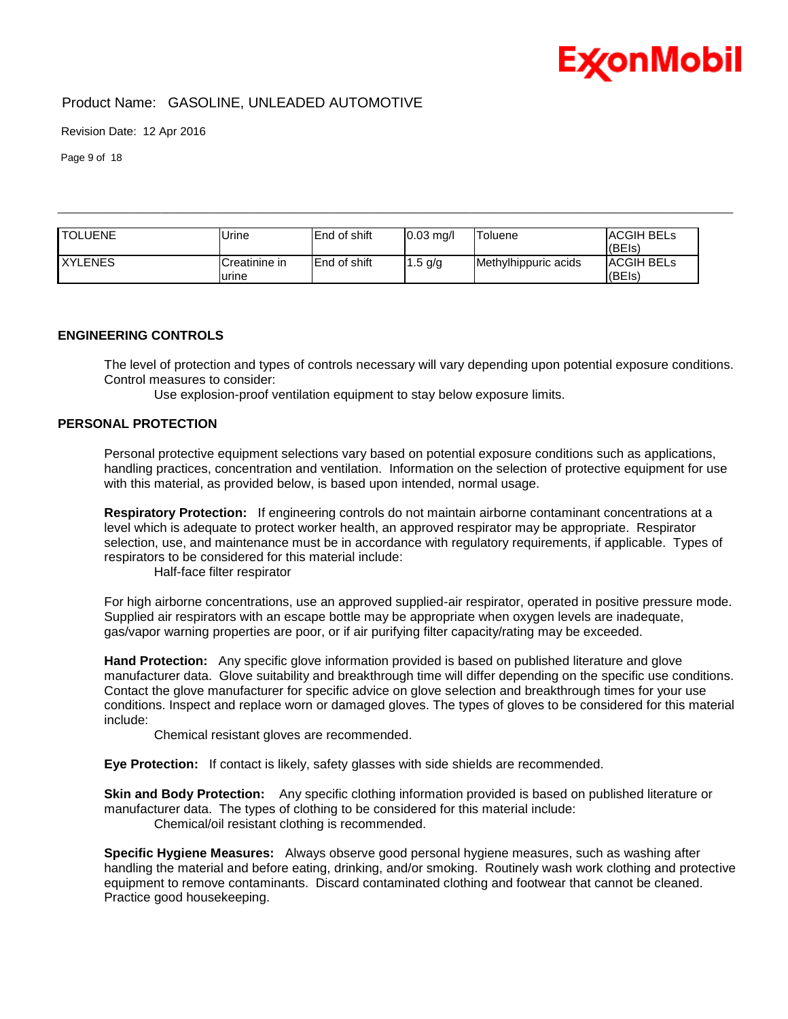

Revision Date: 12 Apr 2016

Page 9 of 18

| <b>TOLUENE</b> | Urine                  | <b>End of shift</b>  | $0.03$ mg/l | Toluene              | IACGIH BELs<br>(BE s)       |
|----------------|------------------------|----------------------|-------------|----------------------|-----------------------------|
| <b>XYLENES</b> | Creatinine in<br>urine | <b>IEnd of shift</b> | $1.5$ g/g   | Methylhippuric acids | <b>ACGIH BELS</b><br>(BEIs) |

\_\_\_\_\_\_\_\_\_\_\_\_\_\_\_\_\_\_\_\_\_\_\_\_\_\_\_\_\_\_\_\_\_\_\_\_\_\_\_\_\_\_\_\_\_\_\_\_\_\_\_\_\_\_\_\_\_\_\_\_\_\_\_\_\_\_\_\_\_\_\_\_\_\_\_\_\_\_\_\_\_\_\_\_\_\_\_\_\_\_\_\_\_\_\_\_\_\_\_\_\_\_\_\_\_\_\_\_\_\_\_\_\_\_\_\_\_\_

#### **ENGINEERING CONTROLS**

The level of protection and types of controls necessary will vary depending upon potential exposure conditions. Control measures to consider:

Use explosion-proof ventilation equipment to stay below exposure limits.

### **PERSONAL PROTECTION**

Personal protective equipment selections vary based on potential exposure conditions such as applications, handling practices, concentration and ventilation. Information on the selection of protective equipment for use with this material, as provided below, is based upon intended, normal usage.

**Respiratory Protection:** If engineering controls do not maintain airborne contaminant concentrations at a level which is adequate to protect worker health, an approved respirator may be appropriate. Respirator selection, use, and maintenance must be in accordance with regulatory requirements, if applicable. Types of respirators to be considered for this material include:

Half-face filter respirator

For high airborne concentrations, use an approved supplied-air respirator, operated in positive pressure mode. Supplied air respirators with an escape bottle may be appropriate when oxygen levels are inadequate, gas/vapor warning properties are poor, or if air purifying filter capacity/rating may be exceeded.

**Hand Protection:** Any specific glove information provided is based on published literature and glove manufacturer data. Glove suitability and breakthrough time will differ depending on the specific use conditions. Contact the glove manufacturer for specific advice on glove selection and breakthrough times for your use conditions. Inspect and replace worn or damaged gloves. The types of gloves to be considered for this material include:

Chemical resistant gloves are recommended.

**Eye Protection:** If contact is likely, safety glasses with side shields are recommended.

**Skin and Body Protection:** Any specific clothing information provided is based on published literature or manufacturer data. The types of clothing to be considered for this material include: Chemical/oil resistant clothing is recommended.

**Specific Hygiene Measures:** Always observe good personal hygiene measures, such as washing after handling the material and before eating, drinking, and/or smoking. Routinely wash work clothing and protective equipment to remove contaminants. Discard contaminated clothing and footwear that cannot be cleaned. Practice good housekeeping.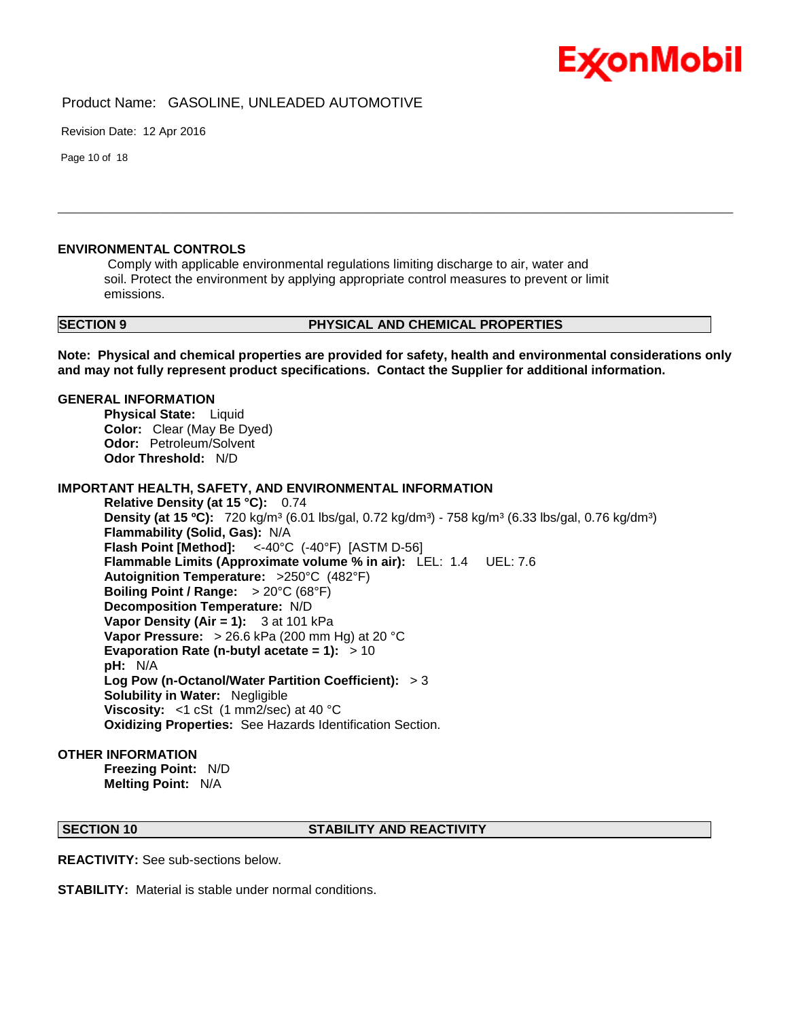

Revision Date: 12 Apr 2016

Page 10 of 18

#### **ENVIRONMENTAL CONTROLS**

Comply with applicable environmental regulations limiting discharge to air, water and soil. Protect the environment by applying appropriate control measures to prevent or limit emissions.

#### **SECTION 9 PHYSICAL AND CHEMICAL PROPERTIES**

**Note: Physical and chemical properties are provided for safety, health and environmental considerations only and may not fully represent product specifications. Contact the Supplier for additional information.**

\_\_\_\_\_\_\_\_\_\_\_\_\_\_\_\_\_\_\_\_\_\_\_\_\_\_\_\_\_\_\_\_\_\_\_\_\_\_\_\_\_\_\_\_\_\_\_\_\_\_\_\_\_\_\_\_\_\_\_\_\_\_\_\_\_\_\_\_\_\_\_\_\_\_\_\_\_\_\_\_\_\_\_\_\_\_\_\_\_\_\_\_\_\_\_\_\_\_\_\_\_\_\_\_\_\_\_\_\_\_\_\_\_\_\_\_\_\_

#### **GENERAL INFORMATION**

**Physical State: Liquid Color:** Clear (May Be Dyed) **Odor:** Petroleum/Solvent **Odor Threshold:** N/D

#### **IMPORTANT HEALTH, SAFETY, AND ENVIRONMENTAL INFORMATION**

**Relative Density (at 15 °C):** 0.74 **Density (at 15 °C):** 720 kg/m<sup>3</sup> (6.01 lbs/gal, 0.72 kg/dm<sup>3</sup>) - 758 kg/m<sup>3</sup> (6.33 lbs/gal, 0.76 kg/dm<sup>3</sup>) **Flammability (Solid, Gas):** N/A **Flash Point [Method]:** <-40°C (-40°F) [ASTM D-56] **Flammable Limits (Approximate volume % in air):** LEL: 1.4 UEL: 7.6 **Autoignition Temperature:** >250°C (482°F) **Boiling Point / Range:** > 20°C (68°F) **Decomposition Temperature:** N/D **Vapor Density (Air = 1):** 3 at 101 kPa **Vapor Pressure:** > 26.6 kPa (200 mm Hg) at 20 °C **Evaporation Rate (n-butyl acetate = 1):** > 10 **pH:** N/A **Log Pow (n-Octanol/Water Partition Coefficient):** > 3 **Solubility in Water:** Negligible **Viscosity:** <1 cSt (1 mm2/sec) at 40 °C **Oxidizing Properties:** See Hazards Identification Section.

#### **OTHER INFORMATION**

**Freezing Point:** N/D **Melting Point:** N/A

#### **SECTION 10 STABILITY AND REACTIVITY**

**REACTIVITY:** See sub-sections below.

**STABILITY:** Material is stable under normal conditions.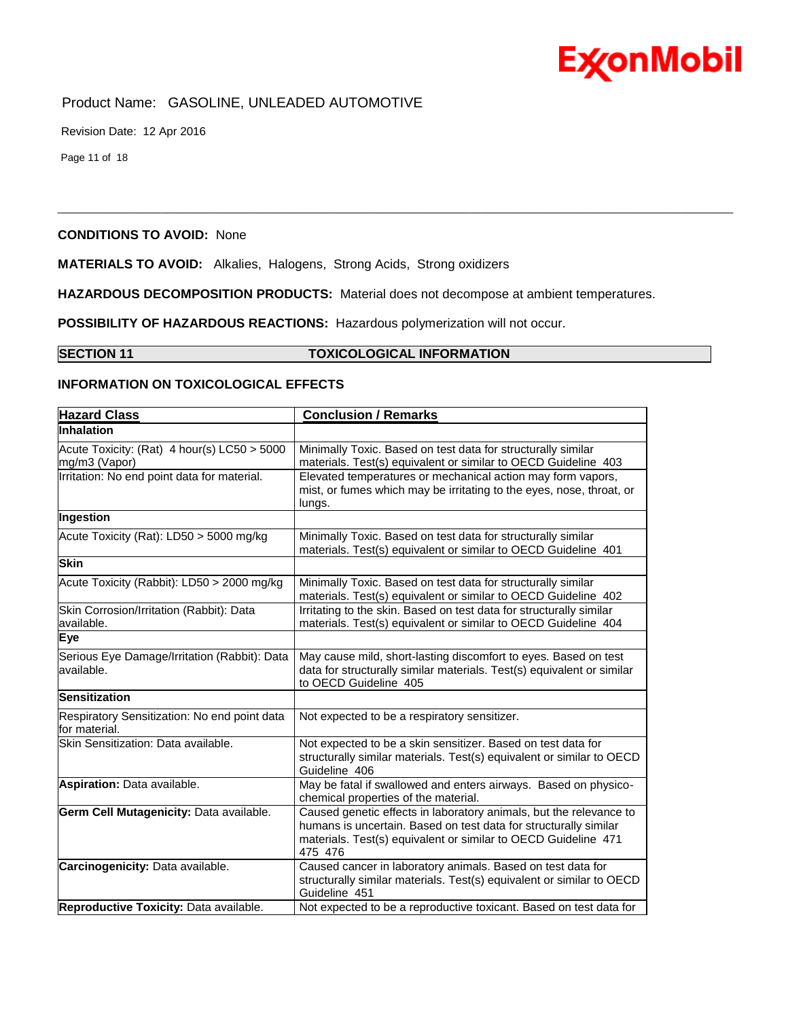

Revision Date: 12 Apr 2016

Page 11 of 18

#### **CONDITIONS TO AVOID:** None

**MATERIALS TO AVOID:** Alkalies, Halogens, Strong Acids, Strong oxidizers

**HAZARDOUS DECOMPOSITION PRODUCTS:** Material does not decompose at ambient temperatures.

\_\_\_\_\_\_\_\_\_\_\_\_\_\_\_\_\_\_\_\_\_\_\_\_\_\_\_\_\_\_\_\_\_\_\_\_\_\_\_\_\_\_\_\_\_\_\_\_\_\_\_\_\_\_\_\_\_\_\_\_\_\_\_\_\_\_\_\_\_\_\_\_\_\_\_\_\_\_\_\_\_\_\_\_\_\_\_\_\_\_\_\_\_\_\_\_\_\_\_\_\_\_\_\_\_\_\_\_\_\_\_\_\_\_\_\_\_\_

**POSSIBILITY OF HAZARDOUS REACTIONS:** Hazardous polymerization will not occur.

## **SECTION 11 TOXICOLOGICAL INFORMATION**

#### **INFORMATION ON TOXICOLOGICAL EFFECTS**

| <b>Hazard Class</b>                                           | <b>Conclusion / Remarks</b>                                                                                                                                                                                         |
|---------------------------------------------------------------|---------------------------------------------------------------------------------------------------------------------------------------------------------------------------------------------------------------------|
| Inhalation                                                    |                                                                                                                                                                                                                     |
| Acute Toxicity: (Rat) 4 hour(s) LC50 > 5000<br>mg/m3 (Vapor)  | Minimally Toxic. Based on test data for structurally similar<br>materials. Test(s) equivalent or similar to OECD Guideline 403                                                                                      |
| Irritation: No end point data for material.                   | Elevated temperatures or mechanical action may form vapors,<br>mist, or fumes which may be irritating to the eyes, nose, throat, or<br>lungs.                                                                       |
| Ingestion                                                     |                                                                                                                                                                                                                     |
| Acute Toxicity (Rat): LD50 > 5000 mg/kg                       | Minimally Toxic. Based on test data for structurally similar<br>materials. Test(s) equivalent or similar to OECD Guideline 401                                                                                      |
| <b>Skin</b>                                                   |                                                                                                                                                                                                                     |
| Acute Toxicity (Rabbit): LD50 > 2000 mg/kg                    | Minimally Toxic. Based on test data for structurally similar<br>materials. Test(s) equivalent or similar to OECD Guideline 402                                                                                      |
| Skin Corrosion/Irritation (Rabbit): Data<br>available.        | Irritating to the skin. Based on test data for structurally similar<br>materials. Test(s) equivalent or similar to OECD Guideline 404                                                                               |
| Eye                                                           |                                                                                                                                                                                                                     |
| Serious Eye Damage/Irritation (Rabbit): Data<br>available.    | May cause mild, short-lasting discomfort to eyes. Based on test<br>data for structurally similar materials. Test(s) equivalent or similar<br>to OECD Guideline 405                                                  |
| <b>Sensitization</b>                                          |                                                                                                                                                                                                                     |
| Respiratory Sensitization: No end point data<br>for material. | Not expected to be a respiratory sensitizer.                                                                                                                                                                        |
| Skin Sensitization: Data available.                           | Not expected to be a skin sensitizer. Based on test data for<br>structurally similar materials. Test(s) equivalent or similar to OECD<br>Guideline 406                                                              |
| Aspiration: Data available.                                   | May be fatal if swallowed and enters airways. Based on physico-<br>chemical properties of the material.                                                                                                             |
| Germ Cell Mutagenicity: Data available.                       | Caused genetic effects in laboratory animals, but the relevance to<br>humans is uncertain. Based on test data for structurally similar<br>materials. Test(s) equivalent or similar to OECD Guideline 471<br>475 476 |
| Carcinogenicity: Data available.                              | Caused cancer in laboratory animals. Based on test data for<br>structurally similar materials. Test(s) equivalent or similar to OECD<br>Guideline 451                                                               |
| Reproductive Toxicity: Data available.                        | Not expected to be a reproductive toxicant. Based on test data for                                                                                                                                                  |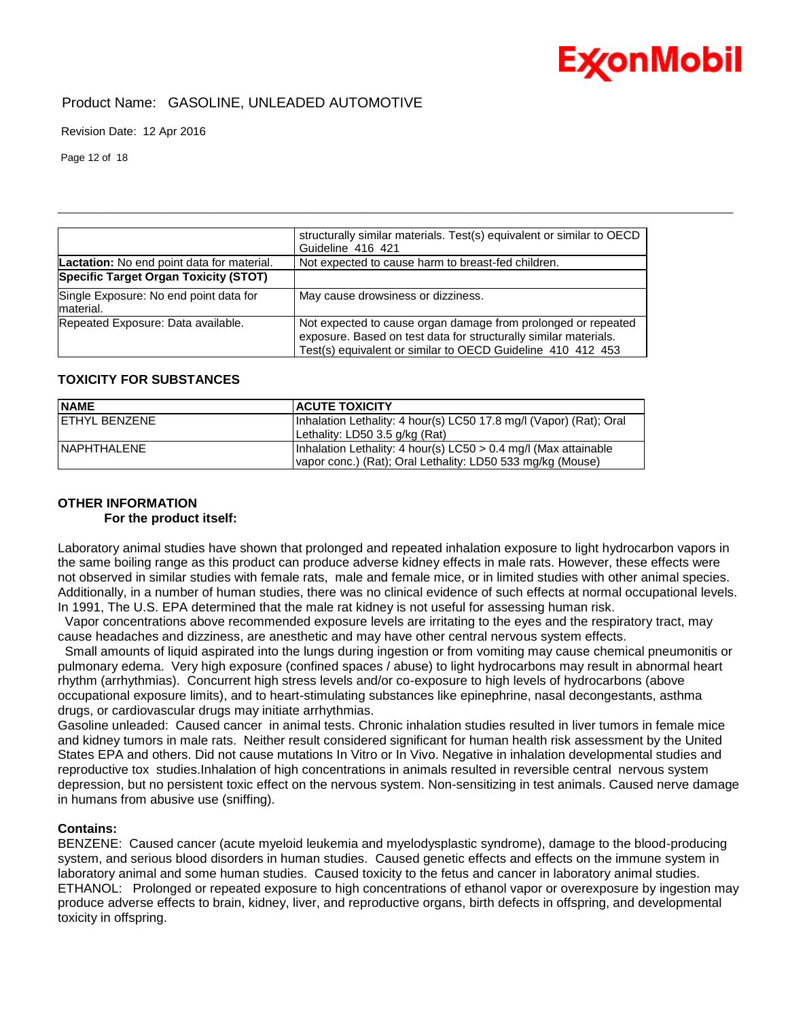## Product Name: GASOLINE, UNLEADED AUTOMOTIVE

Revision Date: 12 Apr 2016

Page 12 of 18

|                                                      | structurally similar materials. Test(s) equivalent or similar to OECD<br>Guideline 416 421                                                                                                       |
|------------------------------------------------------|--------------------------------------------------------------------------------------------------------------------------------------------------------------------------------------------------|
| Lactation: No end point data for material.           | Not expected to cause harm to breast-fed children.                                                                                                                                               |
| Specific Target Organ Toxicity (STOT)                |                                                                                                                                                                                                  |
| Single Exposure: No end point data for<br>Imaterial. | May cause drowsiness or dizziness.                                                                                                                                                               |
| Repeated Exposure: Data available.                   | Not expected to cause organ damage from prolonged or repeated<br>exposure. Based on test data for structurally similar materials.<br>Test(s) equivalent or similar to OECD Guideline 410 412 453 |

\_\_\_\_\_\_\_\_\_\_\_\_\_\_\_\_\_\_\_\_\_\_\_\_\_\_\_\_\_\_\_\_\_\_\_\_\_\_\_\_\_\_\_\_\_\_\_\_\_\_\_\_\_\_\_\_\_\_\_\_\_\_\_\_\_\_\_\_\_\_\_\_\_\_\_\_\_\_\_\_\_\_\_\_\_\_\_\_\_\_\_\_\_\_\_\_\_\_\_\_\_\_\_\_\_\_\_\_\_\_\_\_\_\_\_\_\_\_

### **TOXICITY FOR SUBSTANCES**

| <b>NAME</b>         | <b>ACUTE TOXICITY</b>                                              |
|---------------------|--------------------------------------------------------------------|
| IFTHYL BENZENE      | Inhalation Lethality: 4 hour(s) LC50 17.8 mg/l (Vapor) (Rat): Oral |
|                     | Lethality: LD50 3.5 g/kg (Rat)                                     |
| <b>INAPHTHALENE</b> | Inhalation Lethality: 4 hour(s) LC50 > 0.4 mg/l (Max attainable    |
|                     | vapor conc.) (Rat); Oral Lethality: LD50 533 mg/kg (Mouse)         |

### **OTHER INFORMATION**

#### **For the product itself:**

Laboratory animal studies have shown that prolonged and repeated inhalation exposure to light hydrocarbon vapors in the same boiling range as this product can produce adverse kidney effects in male rats. However, these effects were not observed in similar studies with female rats, male and female mice, or in limited studies with other animal species. Additionally, in a number of human studies, there was no clinical evidence of such effects at normal occupational levels. In 1991, The U.S. EPA determined that the male rat kidney is not useful for assessing human risk.

 Vapor concentrations above recommended exposure levels are irritating to the eyes and the respiratory tract, may cause headaches and dizziness, are anesthetic and may have other central nervous system effects.

 Small amounts of liquid aspirated into the lungs during ingestion or from vomiting may cause chemical pneumonitis or pulmonary edema. Very high exposure (confined spaces / abuse) to light hydrocarbons may result in abnormal heart rhythm (arrhythmias). Concurrent high stress levels and/or co-exposure to high levels of hydrocarbons (above occupational exposure limits), and to heart-stimulating substances like epinephrine, nasal decongestants, asthma drugs, or cardiovascular drugs may initiate arrhythmias.

Gasoline unleaded: Caused cancer in animal tests. Chronic inhalation studies resulted in liver tumors in female mice and kidney tumors in male rats. Neither result considered significant for human health risk assessment by the United States EPA and others. Did not cause mutations In Vitro or In Vivo. Negative in inhalation developmental studies and reproductive tox studies.Inhalation of high concentrations in animals resulted in reversible central nervous system depression, but no persistent toxic effect on the nervous system. Non-sensitizing in test animals. Caused nerve damage in humans from abusive use (sniffing).

#### **Contains:**

BENZENE: Caused cancer (acute myeloid leukemia and myelodysplastic syndrome), damage to the blood-producing system, and serious blood disorders in human studies. Caused genetic effects and effects on the immune system in laboratory animal and some human studies. Caused toxicity to the fetus and cancer in laboratory animal studies. ETHANOL: Prolonged or repeated exposure to high concentrations of ethanol vapor or overexposure by ingestion may produce adverse effects to brain, kidney, liver, and reproductive organs, birth defects in offspring, and developmental toxicity in offspring.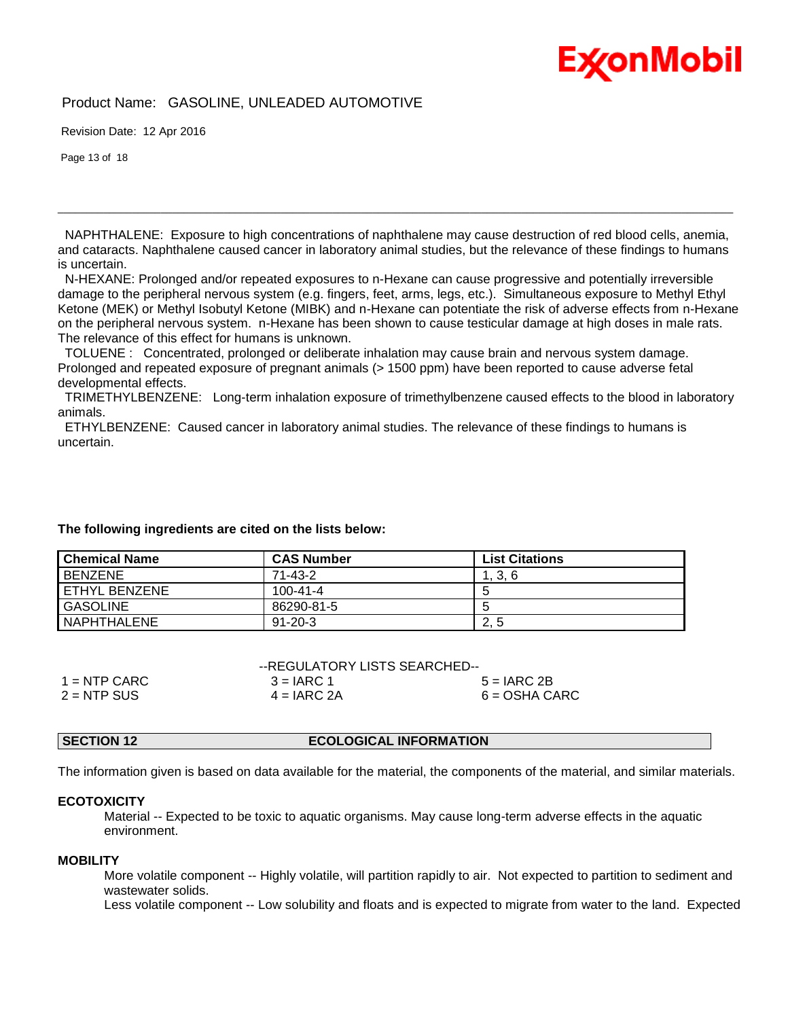## **ExconMobil**

### Product Name: GASOLINE, UNLEADED AUTOMOTIVE

Revision Date: 12 Apr 2016

Page 13 of 18

 NAPHTHALENE: Exposure to high concentrations of naphthalene may cause destruction of red blood cells, anemia, and cataracts. Naphthalene caused cancer in laboratory animal studies, but the relevance of these findings to humans is uncertain.

\_\_\_\_\_\_\_\_\_\_\_\_\_\_\_\_\_\_\_\_\_\_\_\_\_\_\_\_\_\_\_\_\_\_\_\_\_\_\_\_\_\_\_\_\_\_\_\_\_\_\_\_\_\_\_\_\_\_\_\_\_\_\_\_\_\_\_\_\_\_\_\_\_\_\_\_\_\_\_\_\_\_\_\_\_\_\_\_\_\_\_\_\_\_\_\_\_\_\_\_\_\_\_\_\_\_\_\_\_\_\_\_\_\_\_\_\_\_

 N-HEXANE: Prolonged and/or repeated exposures to n-Hexane can cause progressive and potentially irreversible damage to the peripheral nervous system (e.g. fingers, feet, arms, legs, etc.). Simultaneous exposure to Methyl Ethyl Ketone (MEK) or Methyl Isobutyl Ketone (MIBK) and n-Hexane can potentiate the risk of adverse effects from n-Hexane on the peripheral nervous system. n-Hexane has been shown to cause testicular damage at high doses in male rats. The relevance of this effect for humans is unknown.

 TOLUENE : Concentrated, prolonged or deliberate inhalation may cause brain and nervous system damage. Prolonged and repeated exposure of pregnant animals (> 1500 ppm) have been reported to cause adverse fetal developmental effects.

 TRIMETHYLBENZENE: Long-term inhalation exposure of trimethylbenzene caused effects to the blood in laboratory animals.

 ETHYLBENZENE: Caused cancer in laboratory animal studies. The relevance of these findings to humans is uncertain.

#### **The following ingredients are cited on the lists below:**

| <b>Chemical Name</b> | <b>CAS Number</b> | <b>List Citations</b> |
|----------------------|-------------------|-----------------------|
| <b>BENZENE</b>       | $71 - 43 - 2$     | 1, 3, 6               |
| I ETHYL BENZENE      | $100 - 41 - 4$    |                       |
| GASOLINE             | 86290-81-5        |                       |
| NAPHTHALENE          | $91 - 20 - 3$     | 2, 5                  |

|                | --REGULATORY LISTS SEARCHED-- |                 |  |
|----------------|-------------------------------|-----------------|--|
| $1 =$ NTP CARC | $3 = IARC 1$                  | $5 = IARC 2B$   |  |
| $2 = NTP$ SUS  | $4 = IARC 2A$                 | $6 = OSHA CARC$ |  |

## **SECTION 12 ECOLOGICAL INFORMATION**

The information given is based on data available for the material, the components of the material, and similar materials.

#### **ECOTOXICITY**

 Material -- Expected to be toxic to aquatic organisms. May cause long-term adverse effects in the aquatic environment.

#### **MOBILITY**

 More volatile component -- Highly volatile, will partition rapidly to air. Not expected to partition to sediment and wastewater solids.

Less volatile component -- Low solubility and floats and is expected to migrate from water to the land. Expected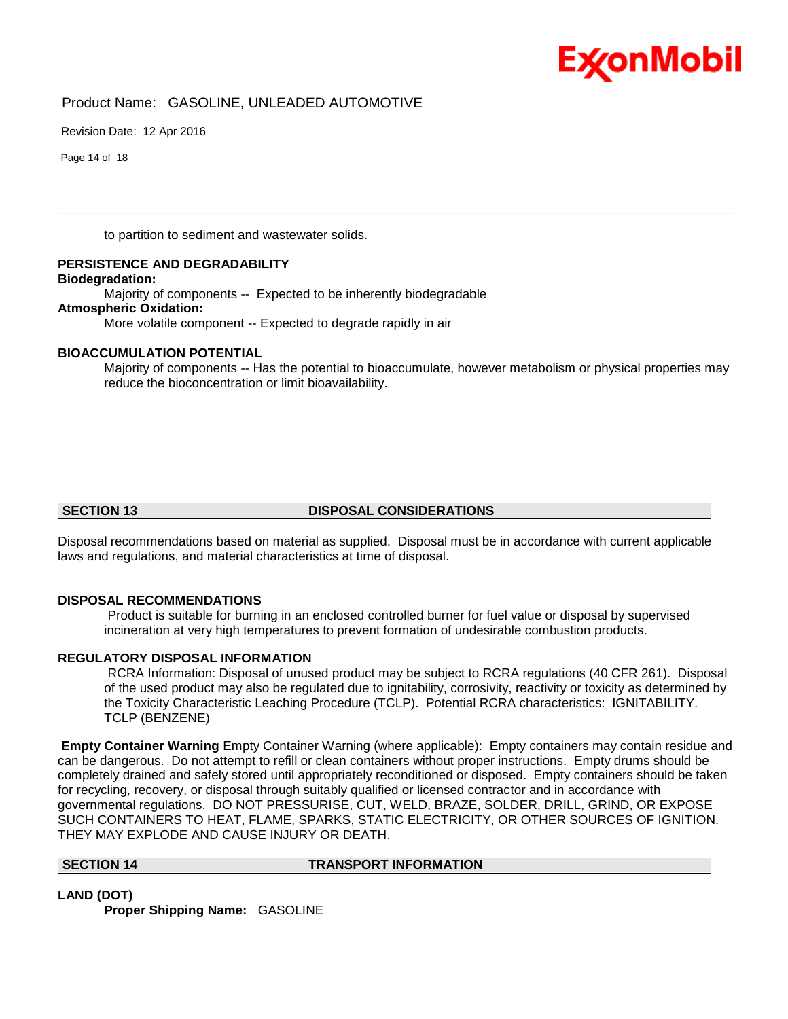

Revision Date: 12 Apr 2016

Page 14 of 18

to partition to sediment and wastewater solids.

**PERSISTENCE AND DEGRADABILITY**

**Biodegradation:**

Majority of components -- Expected to be inherently biodegradable

#### **Atmospheric Oxidation:**

More volatile component -- Expected to degrade rapidly in air

#### **BIOACCUMULATION POTENTIAL**

 Majority of components -- Has the potential to bioaccumulate, however metabolism or physical properties may reduce the bioconcentration or limit bioavailability.

\_\_\_\_\_\_\_\_\_\_\_\_\_\_\_\_\_\_\_\_\_\_\_\_\_\_\_\_\_\_\_\_\_\_\_\_\_\_\_\_\_\_\_\_\_\_\_\_\_\_\_\_\_\_\_\_\_\_\_\_\_\_\_\_\_\_\_\_\_\_\_\_\_\_\_\_\_\_\_\_\_\_\_\_\_\_\_\_\_\_\_\_\_\_\_\_\_\_\_\_\_\_\_\_\_\_\_\_\_\_\_\_\_\_\_\_\_\_

#### **SECTION 13 DISPOSAL CONSIDERATIONS**

Disposal recommendations based on material as supplied. Disposal must be in accordance with current applicable laws and regulations, and material characteristics at time of disposal.

#### **DISPOSAL RECOMMENDATIONS**

Product is suitable for burning in an enclosed controlled burner for fuel value or disposal by supervised incineration at very high temperatures to prevent formation of undesirable combustion products.

#### **REGULATORY DISPOSAL INFORMATION**

RCRA Information: Disposal of unused product may be subject to RCRA regulations (40 CFR 261). Disposal of the used product may also be regulated due to ignitability, corrosivity, reactivity or toxicity as determined by the Toxicity Characteristic Leaching Procedure (TCLP). Potential RCRA characteristics: IGNITABILITY. TCLP (BENZENE)

**Empty Container Warning** Empty Container Warning (where applicable): Empty containers may contain residue and can be dangerous. Do not attempt to refill or clean containers without proper instructions. Empty drums should be completely drained and safely stored until appropriately reconditioned or disposed. Empty containers should be taken for recycling, recovery, or disposal through suitably qualified or licensed contractor and in accordance with governmental regulations. DO NOT PRESSURISE, CUT, WELD, BRAZE, SOLDER, DRILL, GRIND, OR EXPOSE SUCH CONTAINERS TO HEAT, FLAME, SPARKS, STATIC ELECTRICITY, OR OTHER SOURCES OF IGNITION. THEY MAY EXPLODE AND CAUSE INJURY OR DEATH.

#### **SECTION 14 TRANSPORT INFORMATION**

**LAND (DOT)**

**Proper Shipping Name:** GASOLINE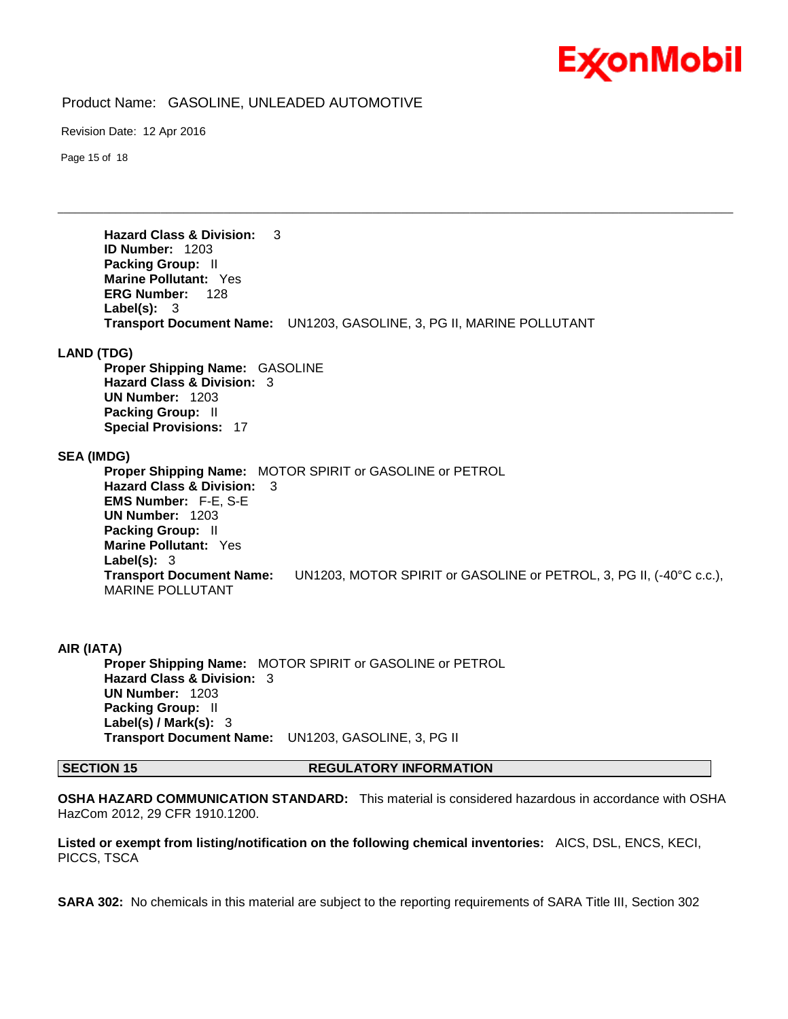

Revision Date: 12 Apr 2016

Page 15 of 18

**Hazard Class & Division:** 3 **ID Number:** 1203 **Packing Group:** II **Marine Pollutant:** Yes **ERG Number:** 128 **Label(s):** 3 **Transport Document Name:** UN1203, GASOLINE, 3, PG II, MARINE POLLUTANT

\_\_\_\_\_\_\_\_\_\_\_\_\_\_\_\_\_\_\_\_\_\_\_\_\_\_\_\_\_\_\_\_\_\_\_\_\_\_\_\_\_\_\_\_\_\_\_\_\_\_\_\_\_\_\_\_\_\_\_\_\_\_\_\_\_\_\_\_\_\_\_\_\_\_\_\_\_\_\_\_\_\_\_\_\_\_\_\_\_\_\_\_\_\_\_\_\_\_\_\_\_\_\_\_\_\_\_\_\_\_\_\_\_\_\_\_\_\_

#### **LAND (TDG)**

**Proper Shipping Name:** GASOLINE **Hazard Class & Division:** 3 **UN Number:** 1203 **Packing Group:** II **Special Provisions:** 17

#### **SEA (IMDG)**

**Proper Shipping Name:** MOTOR SPIRIT or GASOLINE or PETROL **Hazard Class & Division:** 3 **EMS Number:** F-E, S-E **UN Number:** 1203 **Packing Group:** II **Marine Pollutant:** Yes **Label(s):** 3 **Transport Document Name:** UN1203, MOTOR SPIRIT or GASOLINE or PETROL, 3, PG II, (-40°C c.c.), MARINE POLLUTANT

**AIR (IATA) Proper Shipping Name:** MOTOR SPIRIT or GASOLINE or PETROL **Hazard Class & Division:** 3 **UN Number:** 1203 **Packing Group:** II **Label(s) / Mark(s):** 3 **Transport Document Name:** UN1203, GASOLINE, 3, PG II

#### **SECTION 15 REGULATORY INFORMATION**

**OSHA HAZARD COMMUNICATION STANDARD:** This material is considered hazardous in accordance with OSHA HazCom 2012, 29 CFR 1910.1200.

**Listed or exempt from listing/notification on the following chemical inventories:** AICS, DSL, ENCS, KECI, PICCS, TSCA

**SARA 302:** No chemicals in this material are subject to the reporting requirements of SARA Title III, Section 302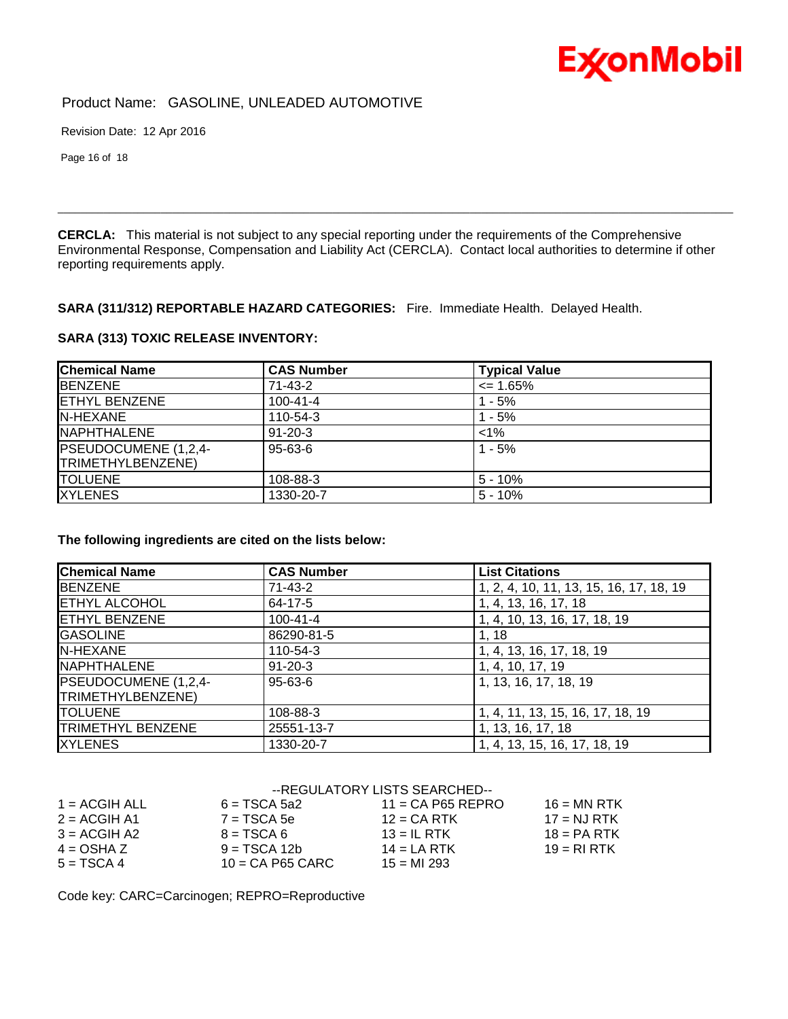

Revision Date: 12 Apr 2016

Page 16 of 18

**CERCLA:** This material is not subject to any special reporting under the requirements of the Comprehensive Environmental Response, Compensation and Liability Act (CERCLA). Contact local authorities to determine if other reporting requirements apply.

\_\_\_\_\_\_\_\_\_\_\_\_\_\_\_\_\_\_\_\_\_\_\_\_\_\_\_\_\_\_\_\_\_\_\_\_\_\_\_\_\_\_\_\_\_\_\_\_\_\_\_\_\_\_\_\_\_\_\_\_\_\_\_\_\_\_\_\_\_\_\_\_\_\_\_\_\_\_\_\_\_\_\_\_\_\_\_\_\_\_\_\_\_\_\_\_\_\_\_\_\_\_\_\_\_\_\_\_\_\_\_\_\_\_\_\_\_\_

### **SARA (311/312) REPORTABLE HAZARD CATEGORIES:** Fire. Immediate Health. Delayed Health.

## **SARA (313) TOXIC RELEASE INVENTORY:**

| <b>Chemical Name</b>      | <b>CAS Number</b> | <b>Typical Value</b> |  |
|---------------------------|-------------------|----------------------|--|
| <b>IBENZENE</b>           | 71-43-2           | $\leq$ 1.65%         |  |
| <b>IETHYL BENZENE</b>     | $100 - 41 - 4$    | - 5%                 |  |
| <b>IN-HEXANE</b>          | 110-54-3          | 1 - 5%               |  |
| <b>INAPHTHALENE</b>       | $91 - 20 - 3$     | $< 1\%$              |  |
| PSEUDOCUMENE (1,2,4-      | 95-63-6           | $1 - 5%$             |  |
| <b>TRIMETHYLBENZENE</b> ) |                   |                      |  |
| <b>ITOLUENE</b>           | 108-88-3          | $5 - 10%$            |  |
| <b>XYLENES</b>            | 1330-20-7         | $5 - 10%$            |  |

#### **The following ingredients are cited on the lists below:**

| <b>Chemical Name</b>     | <b>CAS Number</b> | <b>List Citations</b>                   |
|--------------------------|-------------------|-----------------------------------------|
| <b>BENZENE</b>           | 71-43-2           | 1, 2, 4, 10, 11, 13, 15, 16, 17, 18, 19 |
| <b>ETHYL ALCOHOL</b>     | 64-17-5           | 1, 4, 13, 16, 17, 18                    |
| <b>ETHYL BENZENE</b>     | $100 - 41 - 4$    | 1, 4, 10, 13, 16, 17, 18, 19            |
| <b>GASOLINE</b>          | 86290-81-5        | 1, 18                                   |
| N-HEXANE                 | 110-54-3          | 1, 4, 13, 16, 17, 18, 19                |
| <b>I</b> NAPHTHALENE     | $91 - 20 - 3$     | 1, 4, 10, 17, 19                        |
| PSEUDOCUMENE (1,2,4-     | $95 - 63 - 6$     | 1, 13, 16, 17, 18, 19                   |
| TRIMETHYLBENZENE)        |                   |                                         |
| <b>TOLUENE</b>           | 108-88-3          | 1, 4, 11, 13, 15, 16, 17, 18, 19        |
| <b>TRIMETHYL BENZENE</b> | 25551-13-7        | 1, 13, 16, 17, 18                       |
| <b>IXYLENES</b>          | 1330-20-7         | 1, 4, 13, 15, 16, 17, 18, 19            |

### --REGULATORY LISTS SEARCHED--

| $1 = ACGIH ALL$ | $6 = TSCA 5a2$     | $11 = CA$ P65 REPRO | $16 = MN$ RTK  |
|-----------------|--------------------|---------------------|----------------|
| $2 = ACGIH A1$  | $7 = TSCA5e$       | $12$ = CA RTK       | $17 = N.J RTK$ |
| $3 = ACGH A2$   | $8 = TSCA6$        | $13 = IL$ RTK       | $18 = PA RTK$  |
| $4 = OSHA Z$    | $9 = TSCA 12b$     | $14 = LA RTK$       | $19 = R1 RTK$  |
| $5 = TSCA4$     | $10 = CA$ P65 CARC | $15 = M1 293$       |                |

Code key: CARC=Carcinogen; REPRO=Reproductive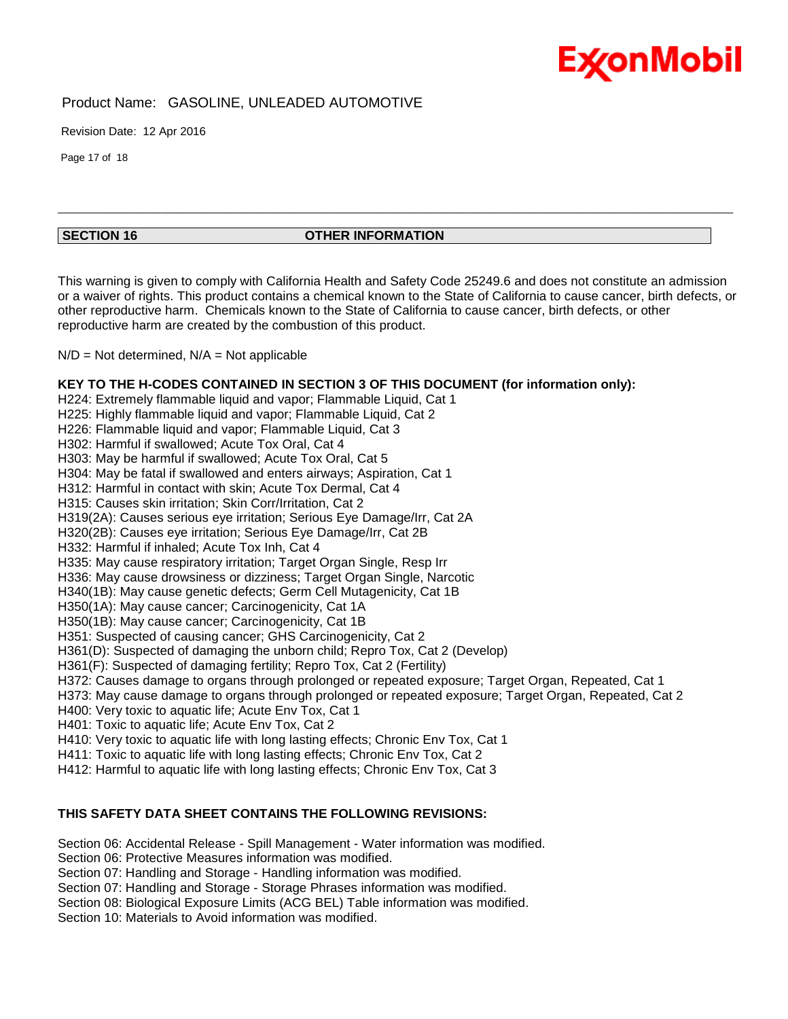

Revision Date: 12 Apr 2016

Page 17 of 18

#### **SECTION 16 OTHER INFORMATION**

This warning is given to comply with California Health and Safety Code 25249.6 and does not constitute an admission or a waiver of rights. This product contains a chemical known to the State of California to cause cancer, birth defects, or other reproductive harm. Chemicals known to the State of California to cause cancer, birth defects, or other reproductive harm are created by the combustion of this product.

\_\_\_\_\_\_\_\_\_\_\_\_\_\_\_\_\_\_\_\_\_\_\_\_\_\_\_\_\_\_\_\_\_\_\_\_\_\_\_\_\_\_\_\_\_\_\_\_\_\_\_\_\_\_\_\_\_\_\_\_\_\_\_\_\_\_\_\_\_\_\_\_\_\_\_\_\_\_\_\_\_\_\_\_\_\_\_\_\_\_\_\_\_\_\_\_\_\_\_\_\_\_\_\_\_\_\_\_\_\_\_\_\_\_\_\_\_\_

 $N/D = Not determined$ ,  $N/A = Not applicable$ 

**KEY TO THE H-CODES CONTAINED IN SECTION 3 OF THIS DOCUMENT (for information only):** H224: Extremely flammable liquid and vapor; Flammable Liquid, Cat 1 H225: Highly flammable liquid and vapor: Flammable Liquid, Cat 2 H226: Flammable liquid and vapor; Flammable Liquid, Cat 3 H302: Harmful if swallowed; Acute Tox Oral, Cat 4 H303: May be harmful if swallowed; Acute Tox Oral, Cat 5 H304: May be fatal if swallowed and enters airways; Aspiration, Cat 1 H312: Harmful in contact with skin; Acute Tox Dermal, Cat 4 H315: Causes skin irritation; Skin Corr/Irritation, Cat 2 H319(2A): Causes serious eye irritation; Serious Eye Damage/Irr, Cat 2A H320(2B): Causes eye irritation; Serious Eye Damage/Irr, Cat 2B H332: Harmful if inhaled; Acute Tox Inh, Cat 4 H335: May cause respiratory irritation; Target Organ Single, Resp Irr H336: May cause drowsiness or dizziness; Target Organ Single, Narcotic H340(1B): May cause genetic defects; Germ Cell Mutagenicity, Cat 1B H350(1A): May cause cancer; Carcinogenicity, Cat 1A H350(1B): May cause cancer; Carcinogenicity, Cat 1B H351: Suspected of causing cancer; GHS Carcinogenicity, Cat 2 H361(D): Suspected of damaging the unborn child; Repro Tox, Cat 2 (Develop) H361(F): Suspected of damaging fertility; Repro Tox, Cat 2 (Fertility) H372: Causes damage to organs through prolonged or repeated exposure; Target Organ, Repeated, Cat 1 H373: May cause damage to organs through prolonged or repeated exposure; Target Organ, Repeated, Cat 2 H400: Very toxic to aquatic life; Acute Env Tox, Cat 1 H401: Toxic to aquatic life; Acute Env Tox, Cat 2 H410: Very toxic to aquatic life with long lasting effects; Chronic Env Tox, Cat 1 H411: Toxic to aquatic life with long lasting effects; Chronic Env Tox, Cat 2 H412: Harmful to aquatic life with long lasting effects; Chronic Env Tox, Cat 3

### **THIS SAFETY DATA SHEET CONTAINS THE FOLLOWING REVISIONS:**

Section 06: Accidental Release - Spill Management - Water information was modified.

Section 06: Protective Measures information was modified.

Section 07: Handling and Storage - Handling information was modified.

Section 07: Handling and Storage - Storage Phrases information was modified.

Section 08: Biological Exposure Limits (ACG BEL) Table information was modified.

Section 10: Materials to Avoid information was modified.